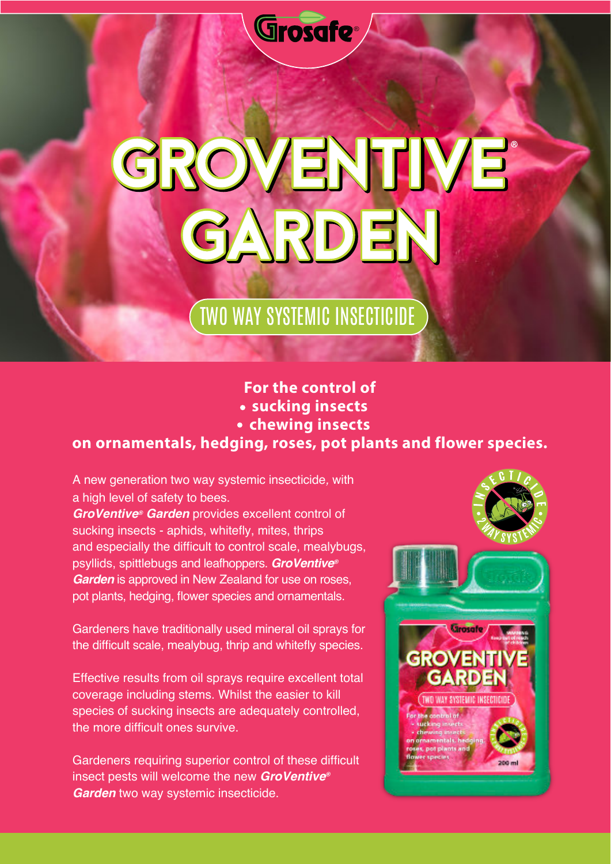

## GROVENTIVE GARDEN

## TWO WAY SYSTEMIC INSECTICIDE

## **For the control of sucking insects**

- 
- **chewing insects**

## **on ornamentals, hedging, roses, pot plants and flower species.**

A new generation two way systemic insecticide*,* with a high level of safety to bees. *GroVentive® Garden* provides excellent control of

sucking insects - aphids, whitefly, mites, thrips and especially the difficult to control scale, mealybugs, psyllids, spittlebugs and leafhoppers. *GroVentive® Garden* is approved in New Zealand for use on roses, pot plants, hedging, flower species and ornamentals.

Gardeners have traditionally used mineral oil sprays for the difficult scale, mealybug, thrip and whitefly species.

Effective results from oil sprays require excellent total coverage including stems. Whilst the easier to kill species of sucking insects are adequately controlled, the more difficult ones survive.

Gardeners requiring superior control of these difficult insect pests will welcome the new *GroVentive® Garden* two way systemic insecticide.